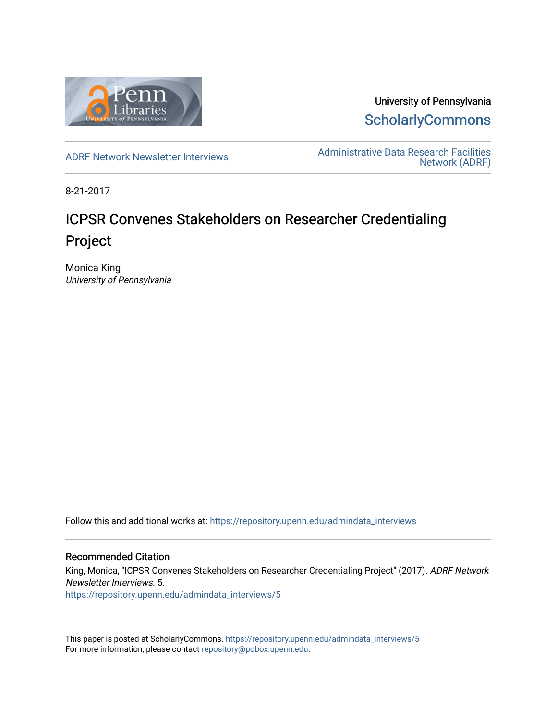

University of Pennsylvania **ScholarlyCommons** 

[ADRF Network Newsletter Interviews](https://repository.upenn.edu/admindata_interviews) [Administrative Data Research Facilities](https://repository.upenn.edu/admindata)  [Network \(ADRF\)](https://repository.upenn.edu/admindata) 

8-21-2017

# ICPSR Convenes Stakeholders on Researcher Credentialing Project

Monica King University of Pennsylvania

Follow this and additional works at: [https://repository.upenn.edu/admindata\\_interviews](https://repository.upenn.edu/admindata_interviews?utm_source=repository.upenn.edu%2Fadmindata_interviews%2F5&utm_medium=PDF&utm_campaign=PDFCoverPages) 

#### Recommended Citation

King, Monica, "ICPSR Convenes Stakeholders on Researcher Credentialing Project" (2017). ADRF Network Newsletter Interviews. 5.

[https://repository.upenn.edu/admindata\\_interviews/5](https://repository.upenn.edu/admindata_interviews/5?utm_source=repository.upenn.edu%2Fadmindata_interviews%2F5&utm_medium=PDF&utm_campaign=PDFCoverPages) 

This paper is posted at ScholarlyCommons. [https://repository.upenn.edu/admindata\\_interviews/5](https://repository.upenn.edu/admindata_interviews/5) For more information, please contact [repository@pobox.upenn.edu.](mailto:repository@pobox.upenn.edu)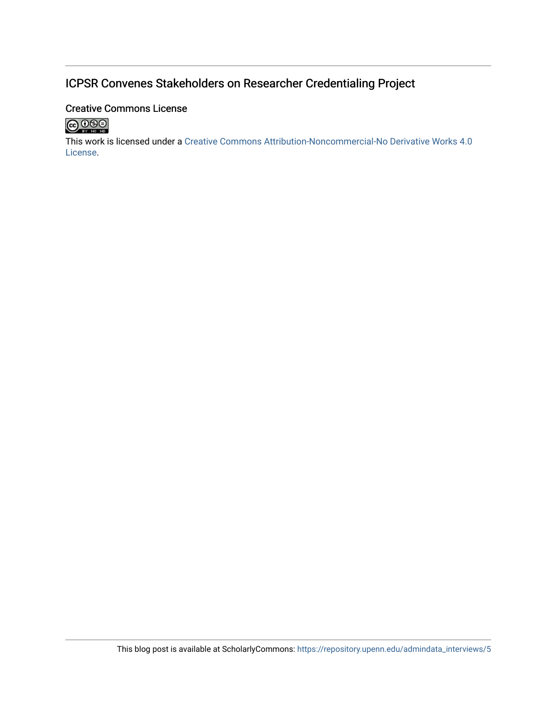## ICPSR Convenes Stakeholders on Researcher Credentialing Project

#### **Creative Commons License**



This work is licensed under a Creative Commons Attribution-Noncommercial-No Derivative Works 4.0 License.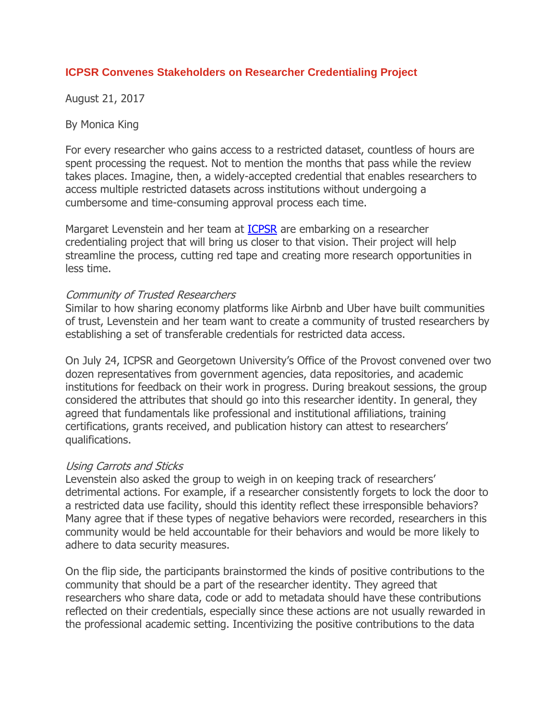#### **ICPSR Convenes Stakeholders on Researcher Credentialing Project**

August 21, 2017

By [Monica](https://www.adrf.upenn.edu/blog-1/author/Monica-King) King

For every researcher who gains access to a restricted dataset, countless of hours are spent processing the request. Not to mention the months that pass while the review takes places. Imagine, then, a widely-accepted credential that enables researchers to access multiple restricted datasets across institutions without undergoing a cumbersome and time-consuming approval process each time.

Margaret Levenstein and her team at [ICPSR](https://www.icpsr.umich.edu/icpsrweb/) are embarking on a researcher credentialing project that will bring us closer to that vision. Their project will help streamline the process, cutting red tape and creating more research opportunities in less time.

#### Community of Trusted Researchers

Similar to how sharing economy platforms like Airbnb and Uber have built communities of trust, Levenstein and her team want to create a community of trusted researchers by establishing a set of transferable credentials for restricted data access.

On July 24, ICPSR and Georgetown University's Office of the Provost convened over two dozen representatives from government agencies, data repositories, and academic institutions for feedback on their work in progress. During breakout sessions, the group considered the attributes that should go into this researcher identity. In general, they agreed that fundamentals like professional and institutional affiliations, training certifications, grants received, and publication history can attest to researchers' qualifications.

#### Using Carrots and Sticks

Levenstein also asked the group to weigh in on keeping track of researchers' detrimental actions. For example, if a researcher consistently forgets to lock the door to a restricted data use facility, should this identity reflect these irresponsible behaviors? Many agree that if these types of negative behaviors were recorded, researchers in this community would be held accountable for their behaviors and would be more likely to adhere to data security measures.

On the flip side, the participants brainstormed the kinds of positive contributions to the community that should be a part of the researcher identity. They agreed that researchers who share data, code or add to metadata should have these contributions reflected on their credentials, especially since these actions are not usually rewarded in the professional academic setting. Incentivizing the positive contributions to the data